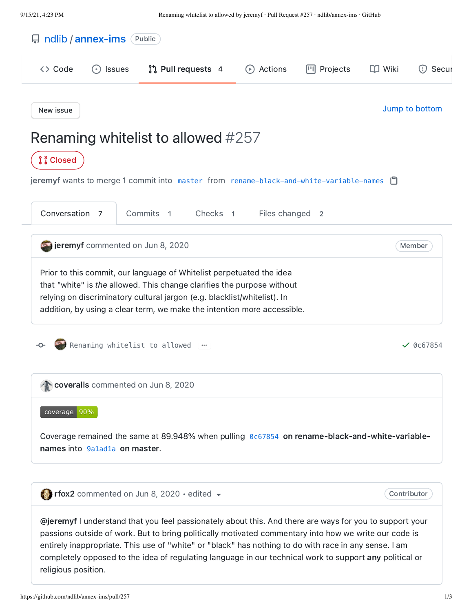<span id="page-0-0"></span>

|                          | ndlib / annex-ims (Public)                         |                                                                                                                                                                                                                                                                            |                     |                     |             |                |
|--------------------------|----------------------------------------------------|----------------------------------------------------------------------------------------------------------------------------------------------------------------------------------------------------------------------------------------------------------------------------|---------------------|---------------------|-------------|----------------|
| <> Code                  | <b>Issues</b><br>$(\ \cdot\ )$                     | $\int \int$ Pull requests 4                                                                                                                                                                                                                                                | Actions<br>$(\ast)$ | <b>III</b> Projects | $\Box$ Wiki | (!) Secul      |
| New issue                |                                                    |                                                                                                                                                                                                                                                                            |                     |                     |             | Jump to bottom |
|                          |                                                    | Renaming whitelist to allowed #257                                                                                                                                                                                                                                         |                     |                     |             |                |
| <b><i>i</i></b> i Closed |                                                    |                                                                                                                                                                                                                                                                            |                     |                     |             |                |
|                          |                                                    | jeremyf wants to merge 1 commit into master from rename-black-and-white-variable-names [                                                                                                                                                                                   |                     |                     |             |                |
| Conversation 7           |                                                    | Commits 1<br>Checks <sub>1</sub>                                                                                                                                                                                                                                           | Files changed 2     |                     |             |                |
|                          | <b>Definition</b> jeremyf commented on Jun 8, 2020 |                                                                                                                                                                                                                                                                            |                     |                     |             | Member         |
|                          |                                                    | that "white" is the allowed. This change clarifies the purpose without<br>relying on discriminatory cultural jargon (e.g. blacklist/whitelist). In<br>addition, by using a clear term, we make the intention more accessible.<br>Renaming whitelist to allowed<br>$\cdots$ |                     |                     |             | $\vee$ 0c67854 |
|                          |                                                    | coveralls commented on Jun 8, 2020                                                                                                                                                                                                                                         |                     |                     |             |                |
| coverage 90%             |                                                    |                                                                                                                                                                                                                                                                            |                     |                     |             |                |
|                          | names into 9a1ad1a on master.                      | Coverage remained the same at 89.948% when pulling 0c67854 on rename-black-and-white-variable-                                                                                                                                                                             |                     |                     |             |                |
|                          |                                                    |                                                                                                                                                                                                                                                                            |                     |                     |             |                |

<span id="page-0-2"></span><span id="page-0-1"></span>entirely inappropriate. This use of "white" or "black" has nothing to do with race in any sense. I am completely opposed to the idea of regulating language in our technical work to support any political or religious position.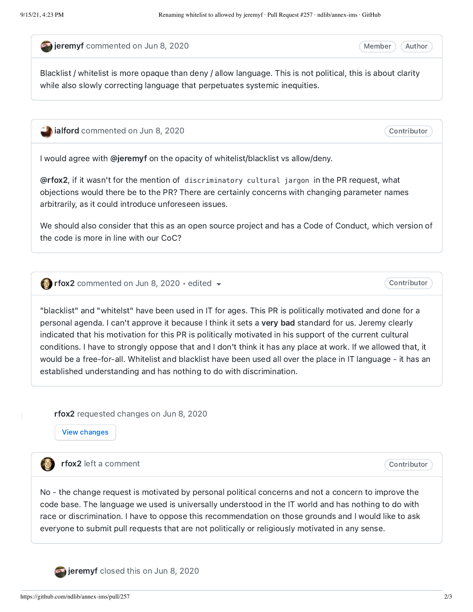<span id="page-1-0"></span>**Departmented on Jun 8, [2020](#page-1-0)** 

Member ) (Author

Contributor

Blacklist / whitelist is more opaque than deny / allow language. This is not political, this is about clarity while also slowly correcting language that perpetuates systemic inequities.

<span id="page-1-1"></span>[ialford](https://github.com/ialford) commented on Jun 8, [2020](#page-1-1)

I would agree with [@jeremyf](https://github.com/jeremyf) on the opacity of whitelist/blacklist vs allow/deny.

[@rfox2](https://github.com/rfox2), if it wasn't for the mention of discriminatory cultural jargon in the PR request, what objections would there be to the PR? There are certainly concerns with changing parameter names arbitrarily, as it could introduce unforeseen issues.

We should also consider that this as an open source project and has a Code of Conduct, which version of the code is more in line with our CoC?

<span id="page-1-2"></span>**[rfox2](https://github.com/rfox2)** commented on Jun 8, [2020](#page-1-2)  $\cdot$  edited  $\rightarrow$ 

Contributor

"blacklist" and "whitelst" have been used in IT for ages. This PR is politically motivated and done for a personal agenda. I can't approve it because I think it sets a very bad standard for us. Jeremy clearly indicated that his motivation for this PR is politically motivated in his support of the current cultural conditions. I have to strongly oppose that and I don't think it has any place at work. If we allowed that, it would be a free-for-all. Whitelist and blacklist have been used all over the place in IT language - it has an established understanding and has nothing to do with discrimination.

<span id="page-1-3"></span>[rfox2](https://github.com/rfox2) requested changes on Jun 8, [2020](#page-1-3)

View [changes](https://github.com/ndlib/annex-ims/pull/257/files/0c67854260853e1788eef5c82543c988ea32c8af)

[rfox2](https://github.com/rfox2) left a comment

Contributor

No - the change request is motivated by personal political concerns and not a concern to improve the code base. The language we used is universally understood in the IT world and has nothing to do with race or discrimination. I have to oppose this recommendation on those grounds and I would like to ask everyone to submit pull requests that are not politically or religiously motivated in any sense.

<span id="page-1-4"></span>

[jeremyf](https://github.com/jeremyf) closed this on Jun 8, [2020](#page-1-4)